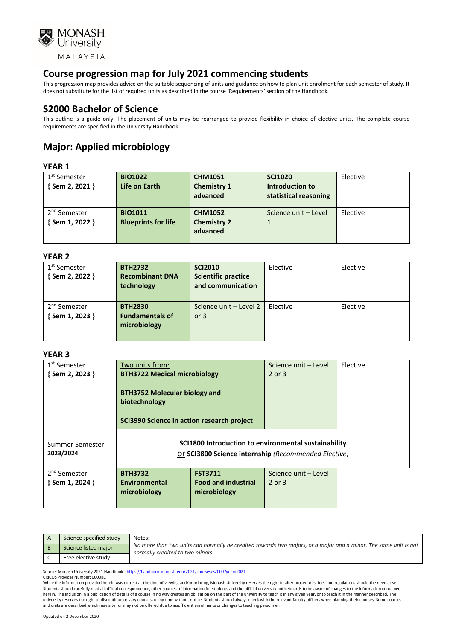

This progression map provides advice on the suitable sequencing of units and guidance on how to plan unit enrolment for each semester of study. It does not substitute for the list of required units as described in the course 'Requirements' section of the Handbook.

## **S2000 Bachelor of Science**

This outline is a guide only. The placement of units may be rearranged to provide flexibility in choice of elective units. The complete course requirements are specified in the University Handbook.

# **Major: Applied microbiology**

#### **YEAR 1**

| 1 <sup>st</sup> Semester | <b>BIO1022</b>             | <b>CHM1051</b>     | <b>SCI1020</b>        | Elective |
|--------------------------|----------------------------|--------------------|-----------------------|----------|
| {Sem 2, 2021 }           | Life on Earth              | <b>Chemistry 1</b> | Introduction to       |          |
|                          |                            | advanced           | statistical reasoning |          |
|                          |                            |                    |                       |          |
| 2 <sup>nd</sup> Semester | <b>BIO1011</b>             | <b>CHM1052</b>     | Science unit - Level  | Elective |
| {Sem 1, 2022 }           | <b>Blueprints for life</b> | <b>Chemistry 2</b> |                       |          |
|                          |                            | advanced           |                       |          |
|                          |                            |                    |                       |          |

#### **YEAR 2**

| 1 <sup>st</sup> Semester | <b>BTH2732</b>         | <b>SCI2010</b>             | Elective | Elective |
|--------------------------|------------------------|----------------------------|----------|----------|
| {Sem 2, 2022 }           | <b>Recombinant DNA</b> | <b>Scientific practice</b> |          |          |
|                          | technology             | and communication          |          |          |
|                          |                        |                            |          |          |
| 2 <sup>nd</sup> Semester | <b>BTH2830</b>         | Science unit - Level 2     | Elective | Elective |
| {Sem 1, 2023 }           | <b>Fundamentals of</b> | or $3$                     |          |          |
|                          | microbiology           |                            |          |          |
|                          |                        |                            |          |          |
|                          |                        |                            |          |          |

#### **YEAR 3**

| 1 <sup>st</sup> Semester<br>{Sem 2, 2023 } | Two units from:<br><b>BTH3722 Medical microbiology</b>                                                       |                                            | Science unit – Level<br>2 or 3 | Elective |
|--------------------------------------------|--------------------------------------------------------------------------------------------------------------|--------------------------------------------|--------------------------------|----------|
|                                            | <b>BTH3752 Molecular biology and</b><br>biotechnology<br>SCI3990 Science in action research project          |                                            |                                |          |
| Summer Semester<br>2023/2024               | SCI1800 Introduction to environmental sustainability<br>Or SCI3800 Science internship (Recommended Elective) |                                            |                                |          |
| 2 <sup>nd</sup> Semester                   | <b>BTH3732</b>                                                                                               | <b>FST3711</b>                             | Science unit - Level           |          |
| $\{$ Sem 1, 2024 $\}$                      | Environmental<br>microbiology                                                                                | <b>Food and industrial</b><br>microbiology | $2$ or $3$                     |          |
|                                            |                                                                                                              |                                            |                                |          |

| Science specified study | <u>Notes:</u>                                                                                                                                        |
|-------------------------|------------------------------------------------------------------------------------------------------------------------------------------------------|
| Science listed major    | No more than two units can normally be credited towards two majors, or a major and a minor. The same unit is not<br>normally credited to two minors. |
| Free elective study     |                                                                                                                                                      |

Source: Monash University 2021 Handbook - <https://handbook.monash.edu/2021/courses/S2000?year=2021>

CRICOS Provider Number: 00008C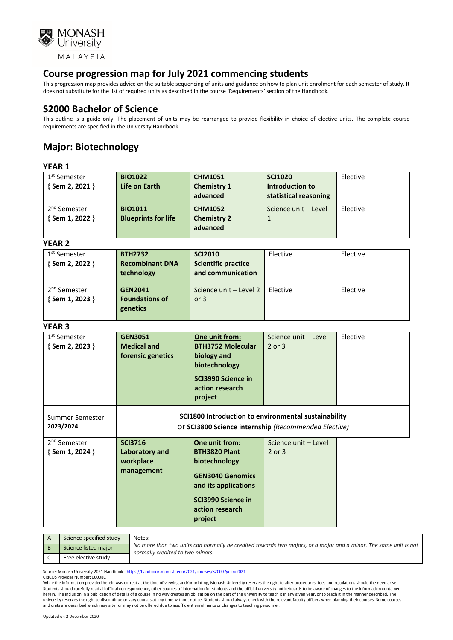

This progression map provides advice on the suitable sequencing of units and guidance on how to plan unit enrolment for each semester of study. It does not substitute for the list of required units as described in the course 'Requirements' section of the Handbook.

## **S2000 Bachelor of Science**

This outline is a guide only. The placement of units may be rearranged to provide flexibility in choice of elective units. The complete course requirements are specified in the University Handbook.

## **Major: Biotechnology**

#### **YEAR 1**

| 1 <sup>st</sup> Semester | <b>BIO1022</b>             | <b>CHM1051</b>     | <b>SCI1020</b>        | Elective |
|--------------------------|----------------------------|--------------------|-----------------------|----------|
| $\{$ Sem 2, 2021 $\}$    | Life on Earth              | <b>Chemistry 1</b> | Introduction to       |          |
|                          |                            | advanced           | statistical reasoning |          |
| 2 <sup>nd</sup> Semester | <b>BIO1011</b>             | <b>CHM1052</b>     | Science unit - Level  | Elective |
| {Sem 1, 2022 }           | <b>Blueprints for life</b> | <b>Chemistry 2</b> |                       |          |
|                          |                            | advanced           |                       |          |
|                          |                            |                    |                       |          |

#### **YEAR 2**

| 1 <sup>st</sup> Semester<br>{Sem 2, 2022 } | <b>BTH2732</b><br><b>Recombinant DNA</b><br>technology | <b>SCI2010</b><br><b>Scientific practice</b><br>and communication | Elective | Elective |
|--------------------------------------------|--------------------------------------------------------|-------------------------------------------------------------------|----------|----------|
| 2 <sup>nd</sup> Semester<br>{Sem 1, 2023 } | <b>GEN2041</b><br><b>Foundations of</b><br>genetics    | Science unit - Level 2<br>or $3$                                  | Elective | Elective |

#### **YEAR 3**

| 1 <sup>st</sup> Semester<br>{Sem 2, 2023 }        | <b>GEN3051</b><br><b>Medical and</b><br>forensic genetics                                                    | One unit from:<br><b>BTH3752 Molecular</b><br>biology and<br>biotechnology<br>SCI3990 Science in<br>action research<br>project                                 | Science unit - Level<br>2 or 3 | Elective |
|---------------------------------------------------|--------------------------------------------------------------------------------------------------------------|----------------------------------------------------------------------------------------------------------------------------------------------------------------|--------------------------------|----------|
| Summer Semester<br>2023/2024                      | SCI1800 Introduction to environmental sustainability<br>Or SCI3800 Science internship (Recommended Elective) |                                                                                                                                                                |                                |          |
| 2 <sup>nd</sup> Semester<br>$\{$ Sem 1, 2024 $\}$ | <b>SCI3716</b><br>Laboratory and<br>workplace<br>management                                                  | One unit from:<br><b>BTH3820 Plant</b><br>biotechnology<br><b>GEN3040 Genomics</b><br>and its applications<br>SCI3990 Science in<br>action research<br>project | Science unit - Level<br>2 or 3 |          |

| Science specified study | Notes:                                                                                                                                               |
|-------------------------|------------------------------------------------------------------------------------------------------------------------------------------------------|
| Science listed major    | No more than two units can normally be credited towards two majors, or a major and a minor. The same unit is not<br>normally credited to two minors. |
| Free elective study     |                                                                                                                                                      |

Source: Monash University 2021 Handbook - <https://handbook.monash.edu/2021/courses/S2000?year=2021>

CRICOS Provider Number: 00008C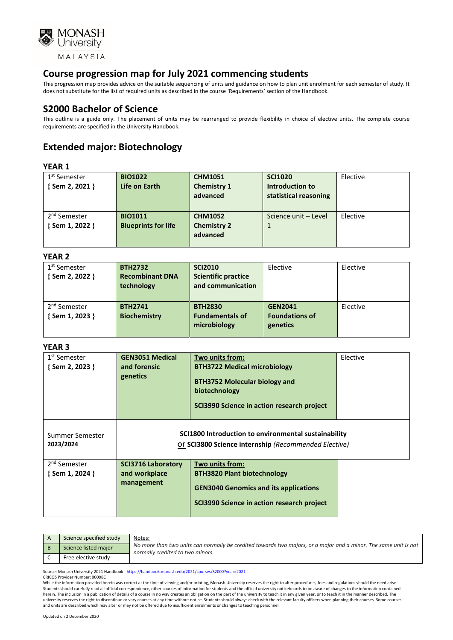

This progression map provides advice on the suitable sequencing of units and guidance on how to plan unit enrolment for each semester of study. It does not substitute for the list of required units as described in the course 'Requirements' section of the Handbook.

### **S2000 Bachelor of Science**

This outline is a guide only. The placement of units may be rearranged to provide flexibility in choice of elective units. The complete course requirements are specified in the University Handbook.

## **Extended major: Biotechnology**

#### **YEAR 1**

| 1 <sup>st</sup> Semester | <b>BIO1022</b>             | <b>CHM1051</b>     | <b>SCI1020</b>        | Elective |
|--------------------------|----------------------------|--------------------|-----------------------|----------|
| {Sem 2, 2021 }           | Life on Earth              | <b>Chemistry 1</b> | Introduction to       |          |
|                          |                            | advanced           | statistical reasoning |          |
|                          |                            |                    |                       |          |
|                          |                            |                    |                       |          |
| 2 <sup>nd</sup> Semester | <b>BIO1011</b>             | <b>CHM1052</b>     | Science unit - Level  | Elective |
| { Sem 1, 2022 }          | <b>Blueprints for life</b> | <b>Chemistry 2</b> | $\mathbf{1}$          |          |
|                          |                            | advanced           |                       |          |
|                          |                            |                    |                       |          |
|                          |                            |                    |                       |          |

#### **YEAR 2**

| .                        |                        |                            |                       |          |
|--------------------------|------------------------|----------------------------|-----------------------|----------|
| 1 <sup>st</sup> Semester | <b>BTH2732</b>         | <b>SCI2010</b>             | Elective              | Elective |
| {Sem 2, 2022 }           | <b>Recombinant DNA</b> | <b>Scientific practice</b> |                       |          |
|                          | technology             | and communication          |                       |          |
|                          |                        |                            |                       |          |
| 2 <sup>nd</sup> Semester | <b>BTH2741</b>         | <b>BTH2830</b>             | <b>GEN2041</b>        | Elective |
| {Sem 1, 2023 }           | <b>Biochemistry</b>    | <b>Fundamentals of</b>     | <b>Foundations of</b> |          |
|                          |                        | microbiology               | genetics              |          |
|                          |                        |                            |                       |          |

#### **YEAR 3**

| 1 <sup>st</sup> Semester<br>{Sem 2, 2023 }        | <b>GEN3051 Medical</b><br>and forensic<br>genetics                                                           | Two units from:<br><b>BTH3722 Medical microbiology</b><br><b>BTH3752 Molecular biology and</b><br>biotechnology<br>SCI3990 Science in action research project | Elective |
|---------------------------------------------------|--------------------------------------------------------------------------------------------------------------|---------------------------------------------------------------------------------------------------------------------------------------------------------------|----------|
| Summer Semester<br>2023/2024                      | SCI1800 Introduction to environmental sustainability<br>Or SCI3800 Science internship (Recommended Elective) |                                                                                                                                                               |          |
| 2 <sup>nd</sup> Semester<br>$\{$ Sem 1, 2024 $\}$ | <b>SCI3716 Laboratory</b><br>and workplace<br>management                                                     | Two units from:<br><b>BTH3820 Plant biotechnology</b><br><b>GEN3040 Genomics and its applications</b><br>SCI3990 Science in action research project           |          |

| Science specified study | Notes:                                                                                                                                               |
|-------------------------|------------------------------------------------------------------------------------------------------------------------------------------------------|
| Science listed major    | No more than two units can normally be credited towards two majors, or a major and a minor. The same unit is not<br>normally credited to two minors. |
| Free elective study     |                                                                                                                                                      |

Source: Monash University 2021 Handbook - <https://handbook.monash.edu/2021/courses/S2000?year=2021> CRICOS Provider Number: 00008C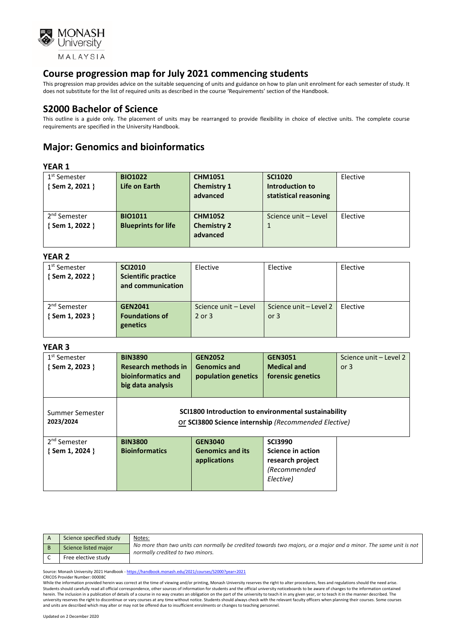

This progression map provides advice on the suitable sequencing of units and guidance on how to plan unit enrolment for each semester of study. It does not substitute for the list of required units as described in the course 'Requirements' section of the Handbook.

### **S2000 Bachelor of Science**

This outline is a guide only. The placement of units may be rearranged to provide flexibility in choice of elective units. The complete course requirements are specified in the University Handbook.

## **Major: Genomics and bioinformatics**

#### **YEAR 1**

| 1 <sup>st</sup> Semester | <b>BIO1022</b>             | <b>CHM1051</b>     | <b>SCI1020</b>        | Elective |
|--------------------------|----------------------------|--------------------|-----------------------|----------|
| {Sem 2, 2021 }           | <b>Life on Earth</b>       | <b>Chemistry 1</b> | Introduction to       |          |
|                          |                            | advanced           | statistical reasoning |          |
|                          |                            |                    |                       |          |
| 2 <sup>nd</sup> Semester | <b>BIO1011</b>             | <b>CHM1052</b>     | Science unit - Level  | Elective |
| {Sem 1, 2022 }           | <b>Blueprints for life</b> | <b>Chemistry 2</b> |                       |          |
|                          |                            | advanced           |                       |          |
|                          |                            |                    |                       |          |

#### **YEAR 2**

| .                        |                            |                      |                        |          |
|--------------------------|----------------------------|----------------------|------------------------|----------|
| 1 <sup>st</sup> Semester | <b>SCI2010</b>             | Elective             | Elective               | Elective |
| { Sem 2, 2022 }          | <b>Scientific practice</b> |                      |                        |          |
|                          | and communication          |                      |                        |          |
|                          |                            |                      |                        |          |
| 2 <sup>nd</sup> Semester | <b>GEN2041</b>             | Science unit - Level | Science unit – Level 2 | Elective |
| { Sem 1, 2023 }          | <b>Foundations of</b>      | 2 or 3               | or $3$                 |          |
|                          | genetics                   |                      |                        |          |
|                          |                            |                      |                        |          |

#### **YEAR 3**

| 1 <sup>st</sup> Semester<br>{Sem 2, 2023 }        | <b>BIN3890</b><br><b>Research methods in</b><br>bioinformatics and<br>big data analysis                      | <b>GEN2052</b><br><b>Genomics and</b><br>population genetics | <b>GEN3051</b><br><b>Medical and</b><br>forensic genetics                            | Science unit - Level 2<br>or $3$ |
|---------------------------------------------------|--------------------------------------------------------------------------------------------------------------|--------------------------------------------------------------|--------------------------------------------------------------------------------------|----------------------------------|
| Summer Semester<br>2023/2024                      | SCI1800 Introduction to environmental sustainability<br>Or SCI3800 Science internship (Recommended Elective) |                                                              |                                                                                      |                                  |
| 2 <sup>nd</sup> Semester<br>$\{$ Sem 1, 2024 $\}$ | <b>BIN3800</b><br><b>Bioinformatics</b>                                                                      | <b>GEN3040</b><br><b>Genomics and its</b><br>applications    | <b>SCI3990</b><br>Science in action<br>research project<br>(Recommended<br>Elective) |                                  |

| Science specified study | Notes:                                                                                                                                               |
|-------------------------|------------------------------------------------------------------------------------------------------------------------------------------------------|
| Science listed major    | No more than two units can normally be credited towards two majors, or a major and a minor. The same unit is not<br>normally credited to two minors. |
| Free elective study     |                                                                                                                                                      |

Source: Monash University 2021 Handbook - <https://handbook.monash.edu/2021/courses/S2000?year=2021>

#### CRICOS Provider Number: 00008C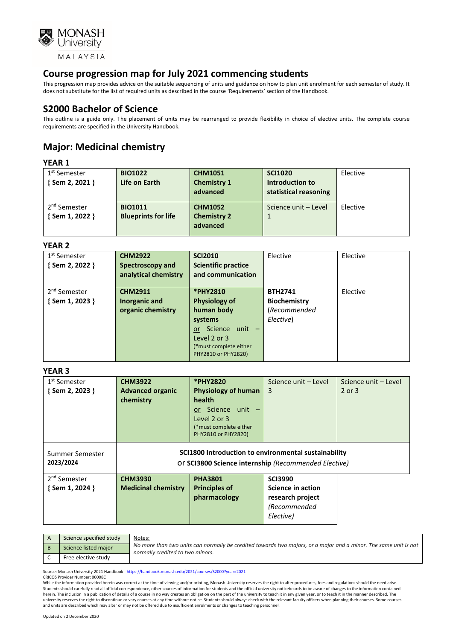

This progression map provides advice on the suitable sequencing of units and guidance on how to plan unit enrolment for each semester of study. It does not substitute for the list of required units as described in the course 'Requirements' section of the Handbook.

## **S2000 Bachelor of Science**

This outline is a guide only. The placement of units may be rearranged to provide flexibility in choice of elective units. The complete course requirements are specified in the University Handbook.

# **Major: Medicinal chemistry**

### **YEAR 1**

| 1 <sup>st</sup> Semester<br>{Sem 2, 2021 } | <b>BIO1022</b><br>Life on Earth | <b>CHM1051</b><br><b>Chemistry 1</b><br>advanced | <b>SCI1020</b><br>Introduction to<br>statistical reasoning | Elective |
|--------------------------------------------|---------------------------------|--------------------------------------------------|------------------------------------------------------------|----------|
| 2 <sup>nd</sup> Semester                   | <b>BIO1011</b>                  | <b>CHM1052</b>                                   | Science unit - Level                                       | Elective |
| {Sem 1, 2022 }                             | <b>Blueprints for life</b>      | <b>Chemistry 2</b>                               |                                                            |          |
|                                            |                                 | advanced                                         |                                                            |          |

#### **YEAR 2**

| 1 <sup>st</sup> Semester | <b>CHM2922</b>       | <b>SCI2010</b>              | Elective            | Elective |
|--------------------------|----------------------|-----------------------------|---------------------|----------|
| {Sem 2, 2022 }           | Spectroscopy and     | <b>Scientific practice</b>  |                     |          |
|                          | analytical chemistry | and communication           |                     |          |
|                          |                      |                             |                     |          |
| 2 <sup>nd</sup> Semester | <b>CHM2911</b>       | <b>*PHY2810</b>             | <b>BTH2741</b>      | Elective |
| {Sem 1, 2023 }           | Inorganic and        | <b>Physiology of</b>        | <b>Biochemistry</b> |          |
|                          | organic chemistry    | human body                  | (Recommended        |          |
|                          |                      | systems                     | Elective)           |          |
|                          |                      | Science unit -<br><b>or</b> |                     |          |
|                          |                      | Level 2 or 3                |                     |          |
|                          |                      | (*must complete either      |                     |          |
|                          |                      | PHY2810 or PHY2820)         |                     |          |

#### **YEAR 3**

| 1 <sup>st</sup> Semester     | <b>CHM3922</b>                                                                                               | <b>*PHY2820</b>            | Science unit – Level | Science unit - Level |
|------------------------------|--------------------------------------------------------------------------------------------------------------|----------------------------|----------------------|----------------------|
| $\{$ Sem 2, 2023 $\}$        | <b>Advanced organic</b>                                                                                      | <b>Physiology of human</b> | 3                    | 2 or 3               |
|                              | chemistry                                                                                                    | health                     |                      |                      |
|                              |                                                                                                              | or Science unit -          |                      |                      |
|                              |                                                                                                              | Level 2 or 3               |                      |                      |
|                              |                                                                                                              | (*must complete either     |                      |                      |
|                              |                                                                                                              | PHY2810 or PHY2820)        |                      |                      |
| Summer Semester<br>2023/2024 | SCI1800 Introduction to environmental sustainability<br>Or SCI3800 Science internship (Recommended Elective) |                            |                      |                      |
| 2 <sup>nd</sup> Semester     | <b>CHM3930</b>                                                                                               | <b>PHA3801</b>             | <b>SCI3990</b>       |                      |
| $\{$ Sem 1, 2024 $\}$        | <b>Medicinal chemistry</b>                                                                                   | <b>Principles of</b>       | Science in action    |                      |
|                              |                                                                                                              | pharmacology               | research project     |                      |
|                              |                                                                                                              |                            | (Recommended         |                      |
|                              |                                                                                                              |                            | Elective)            |                      |
|                              |                                                                                                              |                            |                      |                      |

| Science specified study | Notes:                                                                                                                                               |
|-------------------------|------------------------------------------------------------------------------------------------------------------------------------------------------|
| Science listed major    | No more than two units can normally be credited towards two majors, or a major and a minor. The same unit is not<br>normally credited to two minors. |
| Free elective study     |                                                                                                                                                      |

Source: Monash University 2021 Handbook - <https://handbook.monash.edu/2021/courses/S2000?year=2021>

CRICOS Provider Number: 00008C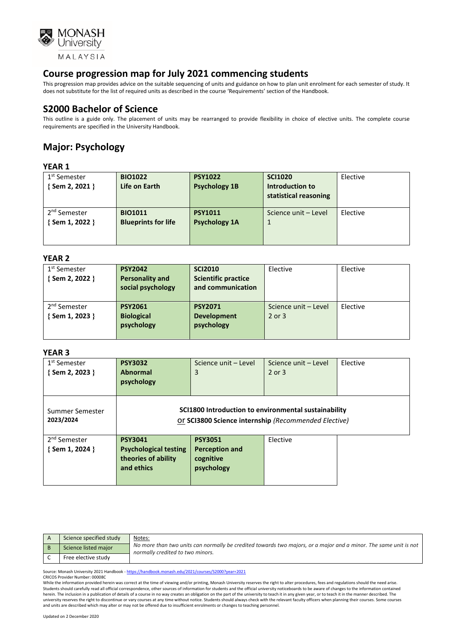

This progression map provides advice on the suitable sequencing of units and guidance on how to plan unit enrolment for each semester of study. It does not substitute for the list of required units as described in the course 'Requirements' section of the Handbook.

## **S2000 Bachelor of Science**

This outline is a guide only. The placement of units may be rearranged to provide flexibility in choice of elective units. The complete course requirements are specified in the University Handbook.

# **Major: Psychology**

#### **YEAR 1**

| 1 <sup>st</sup> Semester | <b>BIO1022</b>             | <b>PSY1022</b>       | <b>SCI1020</b>        | Elective |
|--------------------------|----------------------------|----------------------|-----------------------|----------|
| { Sem 2, 2021 }          | Life on Earth              | <b>Psychology 1B</b> | Introduction to       |          |
|                          |                            |                      | statistical reasoning |          |
|                          |                            |                      |                       |          |
| 2 <sup>nd</sup> Semester | <b>BIO1011</b>             | <b>PSY1011</b>       | Science unit - Level  | Elective |
| { Sem 1, 2022 }          | <b>Blueprints for life</b> | <b>Psychology 1A</b> |                       |          |
|                          |                            |                      |                       |          |
|                          |                            |                      |                       |          |

#### **YEAR 2**

| 1 <sup>st</sup> Semester | <b>PSY2042</b>         | <b>SCI2010</b>             | Elective             | Elective |
|--------------------------|------------------------|----------------------------|----------------------|----------|
| {Sem 2, 2022 }           | <b>Personality and</b> | <b>Scientific practice</b> |                      |          |
|                          | social psychology      | and communication          |                      |          |
|                          |                        |                            |                      |          |
| 2 <sup>nd</sup> Semester | <b>PSY2061</b>         | <b>PSY2071</b>             | Science unit - Level | Elective |
| {Sem 1, 2023 }           | <b>Biological</b>      | <b>Development</b>         | $2$ or $3$           |          |
|                          | psychology             | psychology                 |                      |          |
|                          |                        |                            |                      |          |
|                          |                        |                            |                      |          |

#### **YEAR 3**

| 1 <sup>st</sup> Semester | <b>PSY3032</b>                                       | Science unit - Level                                 | Science unit - Level | Elective |
|--------------------------|------------------------------------------------------|------------------------------------------------------|----------------------|----------|
| { Sem 2, 2023 }          | <b>Abnormal</b>                                      | 3                                                    | $2$ or $3$           |          |
|                          |                                                      |                                                      |                      |          |
|                          | psychology                                           |                                                      |                      |          |
|                          |                                                      |                                                      |                      |          |
|                          |                                                      |                                                      |                      |          |
| Summer Semester          |                                                      | SCI1800 Introduction to environmental sustainability |                      |          |
| 2023/2024                | Or SCI3800 Science internship (Recommended Elective) |                                                      |                      |          |
|                          |                                                      |                                                      |                      |          |
| 2 <sup>nd</sup> Semester | <b>PSY3041</b>                                       | <b>PSY3051</b>                                       | Elective             |          |
| {Sem 1, 2024 }           | <b>Psychological testing</b>                         | <b>Perception and</b>                                |                      |          |
|                          | theories of ability                                  | cognitive                                            |                      |          |
|                          | and ethics                                           | psychology                                           |                      |          |
|                          |                                                      |                                                      |                      |          |
|                          |                                                      |                                                      |                      |          |

| Science specified study | Notes:                                                                                                                                               |
|-------------------------|------------------------------------------------------------------------------------------------------------------------------------------------------|
| Science listed major    | No more than two units can normally be credited towards two majors, or a major and a minor. The same unit is not<br>normally credited to two minors. |
| Free elective study     |                                                                                                                                                      |

Source: Monash University 2021 Handbook - <https://handbook.monash.edu/2021/courses/S2000?year=2021>

CRICOS Provider Number: 00008C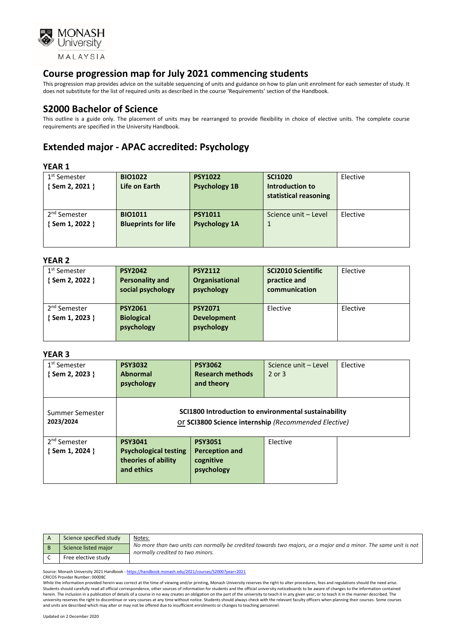

This progression map provides advice on the suitable sequencing of units and guidance on how to plan unit enrolment for each semester of study. It does not substitute for the list of required units as described in the course 'Requirements' section of the Handbook.

## **S2000 Bachelor of Science**

This outline is a guide only. The placement of units may be rearranged to provide flexibility in choice of elective units. The complete course requirements are specified in the University Handbook.

# **Extended major - APAC accredited: Psychology**

### **YEAR 1**

| .                        |                            |                      |                       |          |
|--------------------------|----------------------------|----------------------|-----------------------|----------|
| 1 <sup>st</sup> Semester | <b>BIO1022</b>             | <b>PSY1022</b>       | <b>SCI1020</b>        | Elective |
| {Sem 2, 2021 }           | Life on Earth              | <b>Psychology 1B</b> | Introduction to       |          |
|                          |                            |                      | statistical reasoning |          |
|                          |                            |                      |                       |          |
| 2 <sup>nd</sup> Semester | <b>BIO1011</b>             | <b>PSY1011</b>       | Science unit - Level  | Elective |
| { Sem 1, 2022 }          | <b>Blueprints for life</b> | <b>Psychology 1A</b> |                       |          |
|                          |                            |                      |                       |          |
|                          |                            |                      |                       |          |

#### **YEAR 2**

| 1 <sup>st</sup> Semester | <b>PSY2042</b>         | <b>PSY2112</b>     | <b>SCI2010 Scientific</b> | Elective |
|--------------------------|------------------------|--------------------|---------------------------|----------|
| { Sem 2, 2022 }          | <b>Personality and</b> | Organisational     | practice and              |          |
|                          | social psychology      | psychology         | communication             |          |
|                          |                        |                    |                           |          |
| 2 <sup>nd</sup> Semester | <b>PSY2061</b>         | <b>PSY2071</b>     | Elective                  | Elective |
| {Sem 1, 2023 }           | <b>Biological</b>      | <b>Development</b> |                           |          |
|                          | psychology             | psychology         |                           |          |
|                          |                        |                    |                           |          |

#### **YEAR 3**

| 1 <sup>st</sup> Semester<br>{Sem 2, 2023 }  | <b>PSY3032</b><br><b>Abnormal</b><br>psychology                                     | <b>PSY3062</b><br><b>Research methods</b><br>and theory                                                      | Science unit - Level<br>$2$ or $3$ | Elective |
|---------------------------------------------|-------------------------------------------------------------------------------------|--------------------------------------------------------------------------------------------------------------|------------------------------------|----------|
| Summer Semester<br>2023/2024                |                                                                                     | SCI1800 Introduction to environmental sustainability<br>Or SCI3800 Science internship (Recommended Elective) |                                    |          |
| 2 <sup>nd</sup> Semester<br>{ Sem 1, 2024 } | <b>PSY3041</b><br><b>Psychological testing</b><br>theories of ability<br>and ethics | <b>PSY3051</b><br><b>Perception and</b><br>cognitive<br>psychology                                           | Elective                           |          |

| Science specified study | Notes:                                                                                                                                               |
|-------------------------|------------------------------------------------------------------------------------------------------------------------------------------------------|
| Science listed major    | No more than two units can normally be credited towards two majors, or a major and a minor. The same unit is not<br>normally credited to two minors. |
| Free elective study     |                                                                                                                                                      |

Source: Monash University 2021 Handbook - <https://handbook.monash.edu/2021/courses/S2000?year=2021>

CRICOS Provider Number: 00008C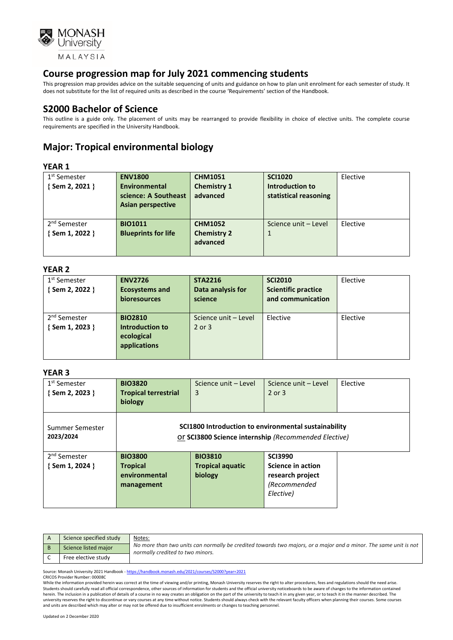

This progression map provides advice on the suitable sequencing of units and guidance on how to plan unit enrolment for each semester of study. It does not substitute for the list of required units as described in the course 'Requirements' section of the Handbook.

### **S2000 Bachelor of Science**

This outline is a guide only. The placement of units may be rearranged to provide flexibility in choice of elective units. The complete course requirements are specified in the University Handbook.

## **Major: Tropical environmental biology**

### **YEAR 1**

| 1 <sup>st</sup> Semester | <b>ENV1800</b>             | <b>CHM1051</b>     | <b>SCI1020</b>        | Elective |
|--------------------------|----------------------------|--------------------|-----------------------|----------|
| {Sem 2, 2021 }           | Environmental              | <b>Chemistry 1</b> | Introduction to       |          |
|                          | science: A Southeast       | advanced           | statistical reasoning |          |
|                          | Asian perspective          |                    |                       |          |
|                          |                            |                    |                       |          |
| 2 <sup>nd</sup> Semester | <b>BIO1011</b>             | <b>CHM1052</b>     | Science unit - Level  | Elective |
| {Sem 1, 2022 }           | <b>Blueprints for life</b> | <b>Chemistry 2</b> |                       |          |
|                          |                            | advanced           |                       |          |
|                          |                            |                    |                       |          |

#### **YEAR 2**

| 1 <sup>st</sup> Semester<br>{Sem 2, 2022 } | <b>ENV2726</b><br><b>Ecosystems and</b><br>bioresources         | <b>STA2216</b><br>Data analysis for<br>science | <b>SCI2010</b><br><b>Scientific practice</b><br>and communication | Elective |
|--------------------------------------------|-----------------------------------------------------------------|------------------------------------------------|-------------------------------------------------------------------|----------|
| 2 <sup>nd</sup> Semester<br>{Sem 1, 2023 } | <b>BIO2810</b><br>Introduction to<br>ecological<br>applications | Science unit - Level<br>2 or 3                 | Elective                                                          | Elective |

#### **YEAR 3**

| 1 <sup>st</sup> Semester<br>{Sem 2, 2023 } | <b>BIO3820</b><br><b>Tropical terrestrial</b><br>biology | Science unit - Level<br>3                                                                                    | Science unit - Level<br>2 or 3 | Elective |
|--------------------------------------------|----------------------------------------------------------|--------------------------------------------------------------------------------------------------------------|--------------------------------|----------|
| Summer Semester<br>2023/2024               |                                                          | SCI1800 Introduction to environmental sustainability<br>Or SCI3800 Science internship (Recommended Elective) |                                |          |
| 2 <sup>nd</sup> Semester                   | <b>BIO3800</b>                                           | <b>BIO3810</b>                                                                                               | <b>SCI3990</b>                 |          |
| $\{$ Sem 1, 2024 $\}$                      | <b>Tropical</b>                                          | <b>Tropical aquatic</b>                                                                                      | Science in action              |          |
|                                            | environmental                                            | biology                                                                                                      | research project               |          |
|                                            | management                                               |                                                                                                              | (Recommended                   |          |
|                                            |                                                          |                                                                                                              | Elective)                      |          |

| Science specified study | Notes:                                                                                                                                               |
|-------------------------|------------------------------------------------------------------------------------------------------------------------------------------------------|
| Science listed major    | No more than two units can normally be credited towards two majors, or a major and a minor. The same unit is not<br>normally credited to two minors. |
| Free elective study     |                                                                                                                                                      |

Source: Monash University 2021 Handbook - <https://handbook.monash.edu/2021/courses/S2000?year=2021>

CRICOS Provider Number: 00008C